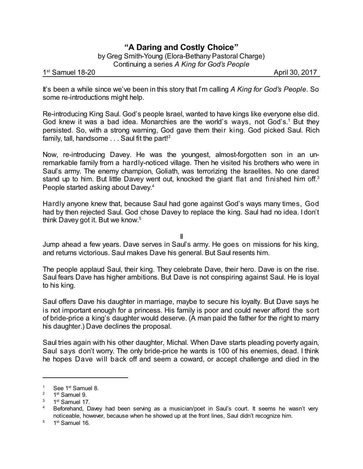## **"A Daring and Costly Choice"**

by Greg Smith-Young (Elora-Bethany Pastoral Charge) Continuing a series *A King for God's People*

1<sup>st</sup> Samuel 18-20 April 30, 2017

It's been a while since we've been in this story that I'm calling *A King for God's People*. So some re-introductions might help.

Re-introducing King Saul. God's people Israel, wanted to have kings like everyone else did. God knew it was a bad idea. Monarchies are the world's ways, not God's.<sup>1</sup> But they persisted. So, with a strong warning, God gave them their king. God picked Saul. Rich family, tall, handsome . . . Saul fit the part!<sup>2</sup>

Now, re-introducing Davey. He was the youngest, almost-forgotten son in an unremarkable family from a hardly-noticed village. Then he visited his brothers who were in Saul's army. The enemy champion, Goliath, was terrorizing the Israelites. No one dared stand up to him. But little Davey went out, knocked the giant flat and finished him off.<sup>3</sup> People started asking about Davey. 4

Hardly anyone knew that, because Saul had gone against God's ways many times, God had by then rejected Saul. God chose Davey to replace the king. Saul had no idea. I don't think Davey got it. But we know. 5

II

Jump ahead a few years. Dave serves in Saul's army. He goes on missions for his king, and returns victorious. Saul makes Dave his general. But Saul resents him.

The people applaud Saul, their king. They celebrate Dave, their hero. Dave is on the rise. Saul fears Dave has higher ambitions. But Dave is not conspiring against Saul. He is loyal to his king.

Saul offers Dave his daughter in marriage, maybe to secure his loyalty. But Dave says he is not important enough for a princess. His family is poor and could never afford the sort of bride-price a king's daughter would deserve. (A man paid the father for the right to marry his daughter.) Dave declines the proposal.

Saul tries again with his other daughter, Michal. When Dave starts pleading poverty again, Saul says don't worry. The only bride-price he wants is 100 of his enemies, dead. I think he hopes Dave will back off and seem a coward, or accept challenge and died in the

 $1$  See 1st Samuel 8.

<sup>&</sup>lt;sup>2</sup> 1<sup>st</sup> Samuel 9.

<sup>&</sup>lt;sup>3</sup> 1<sup>st</sup> Samuel 17.

<sup>&</sup>lt;sup>4</sup> Beforehand, Davey had been serving as a musician/poet in Saul's court. It seems he wasn't very noticeable, however, because when he showed up at the front lines, Saul didn't recognize him.

<sup>&</sup>lt;sup>5</sup> 1<sup>st</sup> Samuel 16.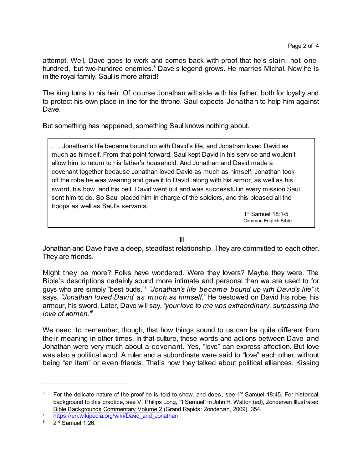attempt. Well, Dave goes to work and comes back with proof that he's slain, not onehundred, but two-hundred enemies.<sup>6</sup> Dave's legend grows. He marries Michal. Now he is in the royal family. Saul is more afraid!

The king turns to his heir. Of course Jonathan will side with his father, both for loyalty and to protect his own place in line for the throne. Saul expects Jonathan to help him against Dave.

But something has happened, something Saul knows nothing about.

. . . Jonathan's life became bound up with David's life, and Jonathan loved David as much as himself. From that point forward, Saul kept David in his service and wouldn't allow him to return to his father's household. And Jonathan and David made a covenant together because Jonathan loved David as much as himself. Jonathan took off the robe he was wearing and gave it to David, along with his armor, as well as his sword, his bow, and his belt. David went out and was successful in every mission Saul sent him to do. So Saul placed him in charge of the soldiers, and this pleased all the troops as well as Saul's servants.

> 1 st Samuel 18:1-5 Common English Bible

III

Jonathan and Dave have a deep, steadfast relationship. They are committed to each other. They are friends.

Might they be more? Folks have wondered. Were they lovers? Maybe they were. The Bible's descriptions certainly sound more intimate and personal than we are used to for guys who are simply "best buds." 7 *"Jonathan's life became bound up with David's life"* it says. *"Jonathan loved David as much as himself."* He bestowed on David his robe, his armour, his sword. Later, Dave will say,*"yourlove to me was extraordinary, surpassing the love of women."* 8

We need to remember, though, that how things sound to us can be quite different from their meaning in other times. In that culture, these words and actions between Dave and Jonathan were very much about a covenant. Yes, "love" can express affection. But love was also a political word. A ruler and a subordinate were said to "love" each other, without being "an item" or even friends. That's how they talked about political alliances. Kissing

 $6$  For the delicate nature of the proof he is told to show, and does, see 1<sup>st</sup> Samuel 18:45. For historical background to this practice, see V. Philips Long, "1 Samuel" in John H. Walton (ed), Zondervan Illustrated Bible Backgrounds Commentary Volume 2 (Grand Rapids: Zondervan, 2009), 354.

<sup>7</sup> [https://en.wikipedia.org/wiki/David\\_and\\_Jonathan](https://en.wikipedia.org/wiki/David_and_Jonathan)

<sup>&</sup>lt;sup>8</sup> 2<sup>nd</sup> Samuel 1:26.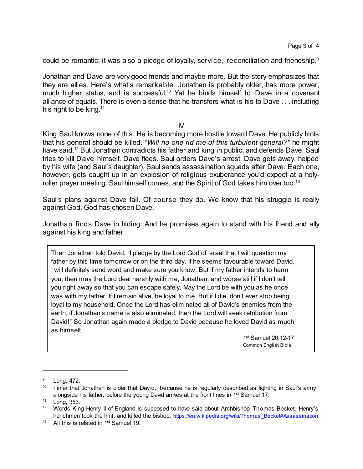could be romantic; it was also a pledge of loyalty, service, reconciliation and friendship.<sup>9</sup>

Jonathan and Dave are very good friends and maybe more. But the story emphasizes that they are allies. Here's what's remarkable. Jonathan is probably older, has more power, much higher status, and is successful.<sup>10</sup> Yet he binds himself to Dave in a covenant alliance of equals. There is even a sense that he transfers what is his to Dave . . . including his right to be king. $11$ 

 $N$ 

King Saul knows none of this. He is becoming more hostile toward Dave. He publicly hints that his general should be killed. *"Will no one rid me of this turbulent general?"* he might have said.<sup>12</sup> But Jonathan contradicts his father and king in public, and defends Dave. Saul tries to kill Dave himself. Dave flees. Saul orders Dave's arrest. Dave gets away, helped by his wife (and Saul's daughter). Saul sends assassination squads after Dave. Each one, however, gets caught up in an explosion of religious exuberance you'd expect at a holyroller prayer meeting. Saul himself comes, and the Spirit of God takes him over too.<sup>13</sup>

Saul's plans against Dave fail. Of course they do. We know that his struggle is really against God. God has chosen Dave.

Jonathan finds Dave in hiding. And he promises again to stand with his friend and ally against his king and father.

Then Jonathan told David, "I pledge by the Lord God of Israel that I will question my father by this time tomorrow or on the third day. If he seems favourable toward David, I will definitely send word and make sure you know. But if my father intends to harm you, then may the Lord deal harshly with me, Jonathan, and worse still if I don't tell you right away so that you can escape safely. May the Lord be with you as he once was with my father. If I remain alive, be loyal to me. But if I die, don't ever stop being loyal to my household. Once the Lord has eliminated all of David's enemies from the earth, if Jonathan's name is also eliminated, then the Lord will seek retribution from David!" So Jonathan again made a pledge to David because he loved David as much as himself.

> 1 st Samuel 20:12-17 Common English Bible

<sup>&</sup>lt;sup>9</sup> Long, 472.

 $10$  I infer that Jonathan is older that David, because he is regularly described as fighting in Saul's army, alongside his father, before the young David arrives at the front lines in 1<sup>st</sup> Samuel 17.

 $11$  Long, 353.<br> $12$  Mords Kin

<sup>12</sup> Words King Henry II of England is supposed to have said about Archbishop Thomas Becket. Henry's henchmen took the hint, and killed the bishop. [https://en.wikipedia.org/wiki/Thomas\\_Becket#Assassination](https://en.wikipedia.org/wiki/Thomas_Becket#Assassination)

 $13$  All this is related in 1<sup>st</sup> Samuel 19.